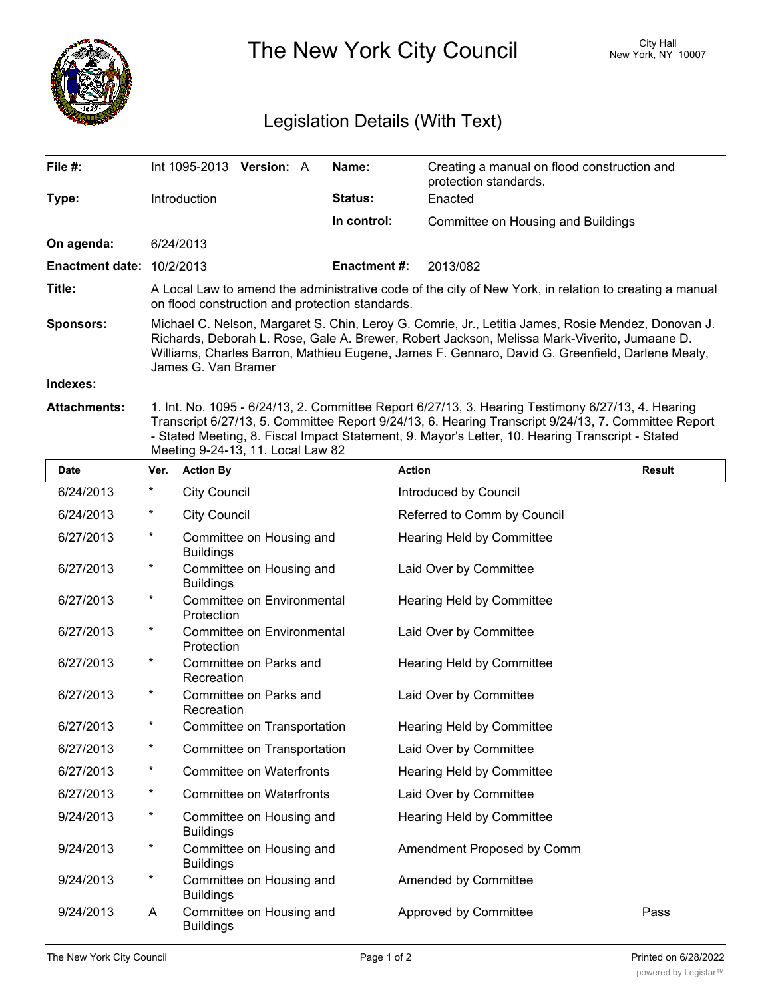

The New York City Council New York, NY 10007

## Legislation Details (With Text)

| File #:                                       | Int 1095-2013                                                                                                                                                                                                                                                                                                                | <b>Version: A</b> |  | Name:               | Creating a manual on flood construction and<br>protection standards. |  |
|-----------------------------------------------|------------------------------------------------------------------------------------------------------------------------------------------------------------------------------------------------------------------------------------------------------------------------------------------------------------------------------|-------------------|--|---------------------|----------------------------------------------------------------------|--|
| Type:                                         | Introduction                                                                                                                                                                                                                                                                                                                 |                   |  | <b>Status:</b>      | Enacted                                                              |  |
|                                               |                                                                                                                                                                                                                                                                                                                              |                   |  | In control:         | Committee on Housing and Buildings                                   |  |
| On agenda:                                    | 6/24/2013                                                                                                                                                                                                                                                                                                                    |                   |  |                     |                                                                      |  |
| <b>Enactment date: <math>10/2/2013</math></b> |                                                                                                                                                                                                                                                                                                                              |                   |  | <b>Enactment #:</b> | 2013/082                                                             |  |
| Title:                                        | A Local Law to amend the administrative code of the city of New York, in relation to creating a manual<br>on flood construction and protection standards.                                                                                                                                                                    |                   |  |                     |                                                                      |  |
| <b>Sponsors:</b>                              | Michael C. Nelson, Margaret S. Chin, Leroy G. Comrie, Jr., Letitia James, Rosie Mendez, Donovan J.<br>Richards, Deborah L. Rose, Gale A. Brewer, Robert Jackson, Melissa Mark-Viverito, Jumaane D.<br>Williams, Charles Barron, Mathieu Eugene, James F. Gennaro, David G. Greenfield, Darlene Mealy,<br>James G. Van Bramer |                   |  |                     |                                                                      |  |
| Indexes:                                      |                                                                                                                                                                                                                                                                                                                              |                   |  |                     |                                                                      |  |
| <b>Attachments:</b>                           | 1. Int. No. 1095 - 6/24/13, 2. Committee Report 6/27/13, 3. Hearing Testimony 6/27/13, 4. Hearing                                                                                                                                                                                                                            |                   |  |                     |                                                                      |  |

Transcript 6/27/13, 5. Committee Report 9/24/13, 6. Hearing Transcript 9/24/13, 7. Committee Report - Stated Meeting, 8. Fiscal Impact Statement, 9. Mayor's Letter, 10. Hearing Transcript - Stated Meeting 9-24-13, 11. Local Law 82

| <b>Date</b> | Ver.    | <b>Action By</b>                             | <b>Action</b>                    | <b>Result</b> |
|-------------|---------|----------------------------------------------|----------------------------------|---------------|
| 6/24/2013   | $\star$ | <b>City Council</b>                          | Introduced by Council            |               |
| 6/24/2013   | $^\ast$ | <b>City Council</b>                          | Referred to Comm by Council      |               |
| 6/27/2013   | $^\ast$ | Committee on Housing and<br><b>Buildings</b> | Hearing Held by Committee        |               |
| 6/27/2013   | $\star$ | Committee on Housing and<br><b>Buildings</b> | Laid Over by Committee           |               |
| 6/27/2013   | $\star$ | Committee on Environmental<br>Protection     | Hearing Held by Committee        |               |
| 6/27/2013   | $\star$ | Committee on Environmental<br>Protection     | Laid Over by Committee           |               |
| 6/27/2013   | $\star$ | Committee on Parks and<br>Recreation         | Hearing Held by Committee        |               |
| 6/27/2013   | $\star$ | Committee on Parks and<br>Recreation         | Laid Over by Committee           |               |
| 6/27/2013   | $\star$ | Committee on Transportation                  | <b>Hearing Held by Committee</b> |               |
| 6/27/2013   | $\star$ | Committee on Transportation                  | Laid Over by Committee           |               |
| 6/27/2013   | $\ast$  | <b>Committee on Waterfronts</b>              | Hearing Held by Committee        |               |
| 6/27/2013   | $\star$ | Committee on Waterfronts                     | Laid Over by Committee           |               |
| 9/24/2013   | $\star$ | Committee on Housing and<br><b>Buildings</b> | Hearing Held by Committee        |               |
| 9/24/2013   | $\star$ | Committee on Housing and<br><b>Buildings</b> | Amendment Proposed by Comm       |               |
| 9/24/2013   | $^\ast$ | Committee on Housing and<br><b>Buildings</b> | Amended by Committee             |               |
| 9/24/2013   | A       | Committee on Housing and<br><b>Buildings</b> | Approved by Committee            | Pass          |